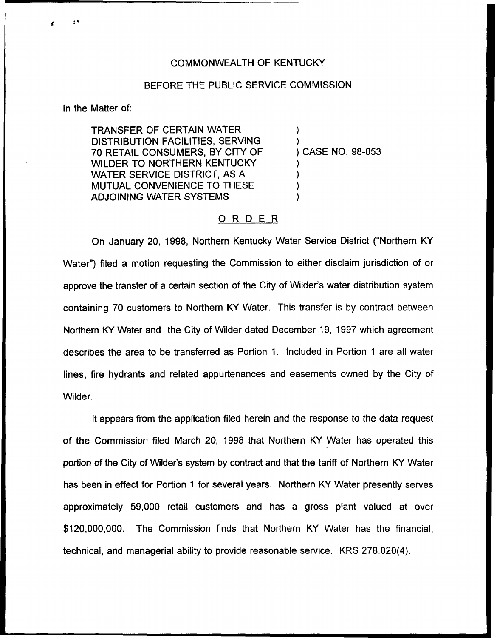## COMMONWEALTH OF KENTUCKY

## BEFORE THE PUBLIC SERVICE COMMISSION

In the Matter of:

 $\mathbf{A}$ 

TRANSFER OF CERTAIN WATER DISTRIBUTION FACILITIES, SERVING 70 RETAIL CONSUMERS, BY CITY OF WILDER TO NORTHERN KENTUCKY WATER SERVICE DISTRICT, AS A MUTUAL CONVENIENCE TO THESE ADJOINING WATER SYSTEMS

) ) ) CASE NO, 98-053 ) ) )

)

## ORDER

On January 20, 1998, Northern Kentucky Water Service District ("Northern KY Water") filed a motion requesting the Commission to either disclaim jurisdiction of or approve the transfer of a certain section of the City of Wilder's water distribution system containing 70 customers to Northern KY Water. This transfer is by contract between Northern KY Water and the City of Wilder dated December 19, 1997 which agreement describes the area to be transferred as Portion 1. Included in Portion <sup>1</sup> are all water lines, fire hydrants and related appurtenances and easements owned by the City of Wilder.

It appears from the application filed herein and the response to the data request of the Commission filed March 20, 1998 that Northern KY Water has operated this portion of the City of Wilder's system by contract and that the tariff of Northern KY Water has been in effect for Portion 1 for several years. Northern KY Water presently serves approximately 59,000 retail customers and has a gross plant valued at over \$120,000,000. The Commission finds that Northern KY Water has the financial, technical, and managerial ability to provide reasonable service. KRS 278.020(4).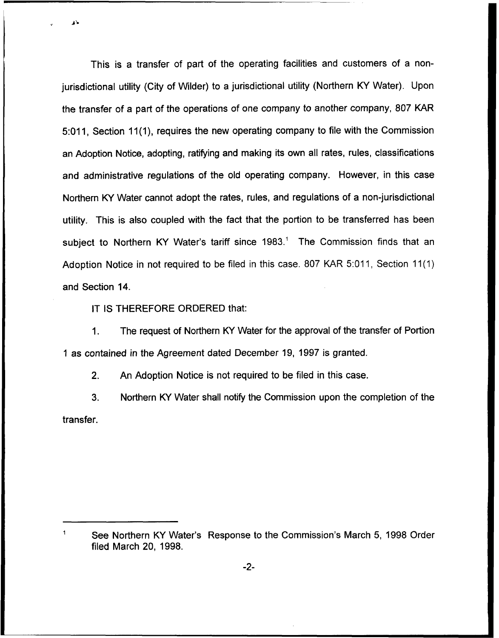This is a transfer of part of the operating facilities and customers of a nonjurisdictional utility (City of Wilder) to a jurisdictional utility (Northern KY Water). Upon the transfer of a part of the operations of one company to another company, 807 KAR 5:011, Section 11(1), requires the new operating company to file with the Commission an Adoption Notice, adopting, ratifying and making its own all rates, rules, classifications and administrative regulations of the old operating company. However, in this case Northern KY Water cannot adopt the rates, rules, and regulations of a non-jurisdictional utility. This is also coupled with the fact that the portion to be transferred has been subject to Northern KY Water's tariff since 1983.<sup>1</sup> The Commission finds that an Adoption Notice in not required to be filed in this case. 807 KAR 5:011, Section 11(1) and Section 14.

IT IS THEREFORE ORDERED that:

1. The request of Northern KY Water for the approval of the transfer of Portion <sup>1</sup> as contained in the Agreement dated December 19, 1997 is granted.

2. An Adoption Notice is not required to be filed in this case.

3. Northern KY Water shall notify the Commission upon the completion of the transfer.

 $\ddagger$ See Northern KY Water's Response to the Commission's March 5, 1998 Order filed March 20, 1998.

-2-